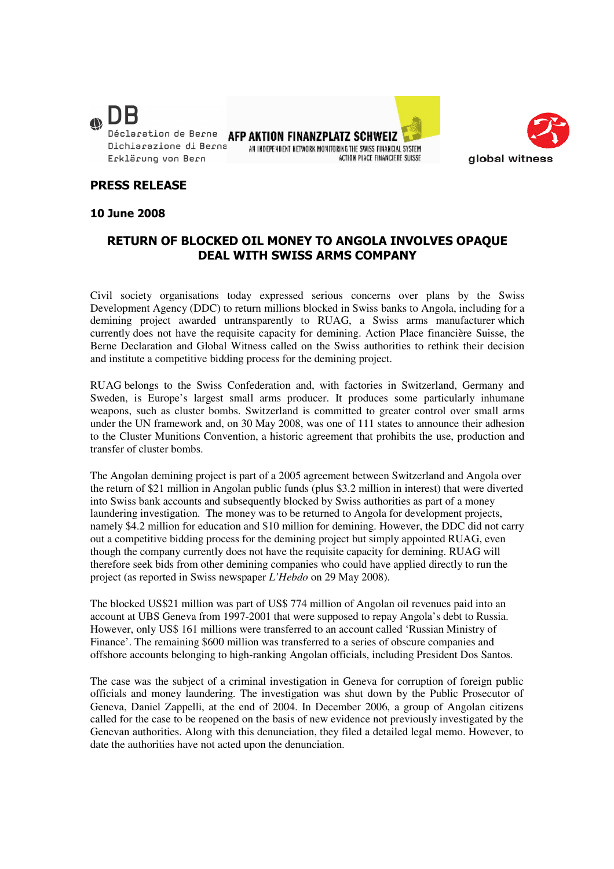

AFP AKTION FINANZPLATZ SCHWEIZ AN INDEPENDENT NETWORK MONITORING THE SWISS FINANCIAL SYSTEM **ACTION PLACE FINANCIFRE SHISSE** 



## PRESS RELEASE

10 June 2008

## RETURN OF BLOCKED OIL MONEY TO ANGOLA INVOLVES OPAQUE DEAL WITH SWISS ARMS COMPANY

Civil society organisations today expressed serious concerns over plans by the Swiss Development Agency (DDC) to return millions blocked in Swiss banks to Angola, including for a demining project awarded untransparently to RUAG, a Swiss arms manufacturer which currently does not have the requisite capacity for demining. Action Place financière Suisse, the Berne Declaration and Global Witness called on the Swiss authorities to rethink their decision and institute a competitive bidding process for the demining project.

RUAG belongs to the Swiss Confederation and, with factories in Switzerland, Germany and Sweden, is Europe's largest small arms producer. It produces some particularly inhumane weapons, such as cluster bombs. Switzerland is committed to greater control over small arms under the UN framework and, on 30 May 2008, was one of 111 states to announce their adhesion to the Cluster Munitions Convention, a historic agreement that prohibits the use, production and transfer of cluster bombs.

The Angolan demining project is part of a 2005 agreement between Switzerland and Angola over the return of \$21 million in Angolan public funds (plus \$3.2 million in interest) that were diverted into Swiss bank accounts and subsequently blocked by Swiss authorities as part of a money laundering investigation. The money was to be returned to Angola for development projects, namely \$4.2 million for education and \$10 million for demining. However, the DDC did not carry out a competitive bidding process for the demining project but simply appointed RUAG, even though the company currently does not have the requisite capacity for demining. RUAG will therefore seek bids from other demining companies who could have applied directly to run the project (as reported in Swiss newspaper *L'Hebdo* on 29 May 2008).

The blocked US\$21 million was part of US\$ 774 million of Angolan oil revenues paid into an account at UBS Geneva from 1997-2001 that were supposed to repay Angola's debt to Russia. However, only US\$ 161 millions were transferred to an account called 'Russian Ministry of Finance'. The remaining \$600 million was transferred to a series of obscure companies and offshore accounts belonging to high-ranking Angolan officials, including President Dos Santos.

The case was the subject of a criminal investigation in Geneva for corruption of foreign public officials and money laundering. The investigation was shut down by the Public Prosecutor of Geneva, Daniel Zappelli, at the end of 2004. In December 2006, a group of Angolan citizens called for the case to be reopened on the basis of new evidence not previously investigated by the Genevan authorities. Along with this denunciation, they filed a detailed legal memo. However, to date the authorities have not acted upon the denunciation.